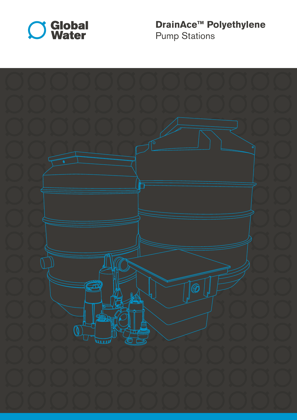

**DrainAce™ Polyethylene**  Pump Stations

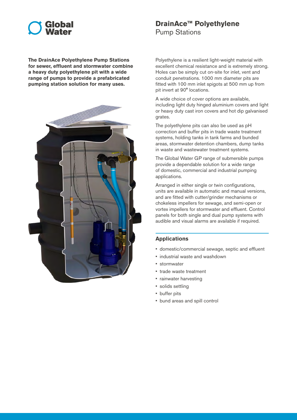# Global

**The DrainAce Polyethylene Pump Stations for sewer, effluent and stormwater combine a heavy duty polyethylene pit with a wide range of pumps to provide a prefabricated pumping station solution for many uses.** 



## **DrainAce™ Polyethylene**

Pump Stations

Polyethylene is a resilient light-weight material with excellent chemical resistance and is extremely strong. Holes can be simply cut on-site for inlet, vent and conduit penetrations. 1000 mm diameter pits are fitted with 100 mm inlet spigots at 500 mm up from pit invert at 90° locations.

A wide choice of cover options are available, including light duty hinged aluminium covers and light or heavy duty cast iron covers and hot dip galvanised grates.

The polyethylene pits can also be used as pH correction and buffer pits in trade waste treatment systems, holding tanks in tank farms and bunded areas, stormwater detention chambers, dump tanks in waste and wastewater treatment systems.

The Global Water GP range of submersible pumps provide a dependable solution for a wide range of domestic, commercial and industrial pumping applications.

Arranged in either single or twin configurations, units are available in automatic and manual versions, and are fitted with cutter/grinder mechanisms or chokeless impellers for sewage, and semi-open or vortex impellers for stormwater and effluent. Control panels for both single and dual pump systems with audible and visual alarms are available if required.

### **Applications**

- domestic/commercial sewage, septic and effluent
- industrial waste and washdown
- stormwater
- trade waste treatment
- rainwater harvesting
- solids settling
- buffer pits
- bund areas and spill control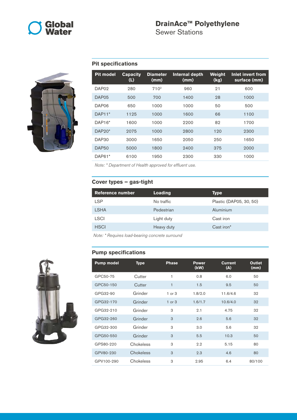

# **DrainAce™ Polyethylene**

Sewer Stations



### **Pit specifications**

| <b>Pit model</b>  | <b>Capacity</b><br>(L) | <b>Diameter</b><br>(mm) | Internal depth<br>(mm) | <b>Weight</b><br>(kg) | Inlet invert from<br>surface (mm) |
|-------------------|------------------------|-------------------------|------------------------|-----------------------|-----------------------------------|
| DAP <sub>02</sub> | 280                    | 710 <sup>2</sup>        | 960                    | 21                    | 600                               |
| DAP <sub>05</sub> | 500                    | 700                     | 1400                   | 28                    | 1000                              |
| DAP06             | 650                    | 1000                    | 1000                   | 50                    | 500                               |
| $DAP11*$          | 1125                   | 1000                    | 1600                   | 66                    | 1100                              |
| DAP16*            | 1600                   | 1000                    | 2200                   | 82                    | 1700                              |
| $DAP20*$          | 2075                   | 1000                    | 2800                   | 120                   | 2300                              |
| DAP <sub>30</sub> | 3000                   | 1650                    | 2050                   | 250                   | 1650                              |
| <b>DAP50</b>      | 5000                   | 1800                    | 2400                   | 375                   | 2000                              |
| DAP61*            | 6100                   | 1950                    | 2300                   | 330                   | 1000                              |

*Note: \* Department of Health approved for effluent use.*

#### **Cover types – gas-tight**

| <b>Reference number</b> | Loading    | Type                    |
|-------------------------|------------|-------------------------|
| <b>LSP</b>              | No traffic | Plastic (DAP05, 30, 50) |
| <b>LSHA</b>             | Pedestrian | Aluminium               |
| <b>LSCI</b>             | Light duty | Cast iron               |
| <b>HSCI</b>             | Heavy duty | Cast iron <sup>*</sup>  |
|                         |            |                         |

*Note: \* Requires load-bearing concrete surround*

#### **Pump specifications**



| <b>Pump model</b> | <b>Type</b> | <b>Phase</b> | <b>Power</b><br>(kW) | <b>Current</b><br>(A) | <b>Outlet</b><br>(mm) |
|-------------------|-------------|--------------|----------------------|-----------------------|-----------------------|
| GPC50-75          | Cutter      | 1            | 0.8                  | 6.0                   | 50                    |
| GPC50-150         | Cutter      | 1            | 1.5                  | 9.5                   | 50                    |
| GPG32-90          | Grinder     | $1$ or $3$   | 1.8/2.0              | 11.6/4.6              | 32                    |
| GPG32-170         | Grinder     | $1$ or $3$   | 1.6/1.7              | 10.6/4.0              | 32                    |
| GPG32-210         | Grinder     | 3            | 2.1                  | 4.75                  | 32                    |
| GPG32-260         | Grinder     | 3            | 2.6                  | 5.6                   | 32                    |
| GPG32-300         | Grinder     | 3            | 3.0                  | 5.6                   | 32                    |
| GPG50-550         | Grinder     | 3            | 5.5                  | 10.3                  | 50                    |
| GPS80-220         | Chokeless   | 3            | 2.2                  | 5.15                  | 80                    |
| GPV80-230         | Chokeless   | 3            | 2.3                  | 4.6                   | 80                    |
| GPV100-290        | Chokeless   | 3            | 2.95                 | 6.4                   | 80/100                |